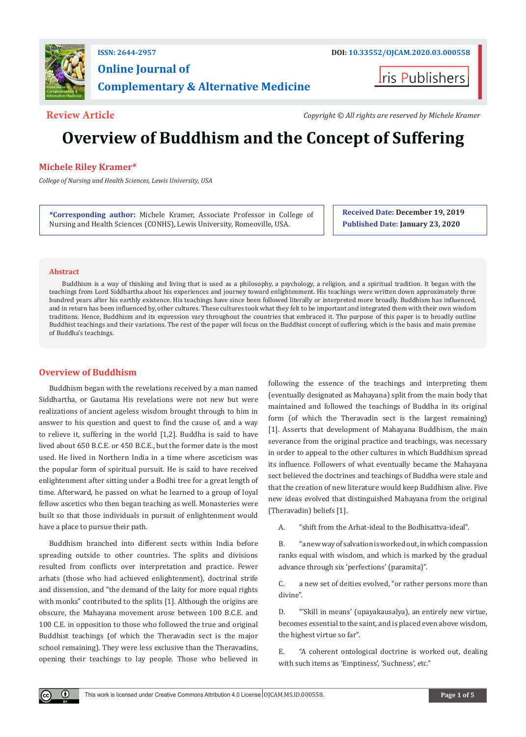

# **Online Journal of Complementary & Alternative Medicine**

**I**ris Publishers

**Review Article** *Copyright © All rights are reserved by Michele Kramer*

# **Overview of Buddhism and the Concept of Suffering**

## **Michele Riley Kramer\***

*College of Nursing and Health Sciences, Lewis University, USA*

**\*Corresponding author:** Michele Kramer, Associate Professor in College of Nursing and Health Sciences (CONHS), Lewis University, Romeoville, USA.

**Received Date: December 19, 2019 Published Date: January 23, 2020**

#### **Abstract**

 $\bf \Theta$ 

Buddhism is a way of thinking and living that is used as a philosophy, a psychology, a religion, and a spiritual tradition. It began with the teachings from Lord Siddhartha about his experiences and journey toward enlightenment. His teachings were written down approximately three hundred years after his earthly existence. His teachings have since been followed literally or interpreted more broadly. Buddhism has influenced, and in return has been influenced by, other cultures. These cultures took what they felt to be important and integrated them with their own wisdom traditions. Hence, Buddhism and its expression vary throughout the countries that embraced it. The purpose of this paper is to broadly outline Buddhist teachings and their variations. The rest of the paper will focus on the Buddhist concept of suffering, which is the basis and main premise of Buddha's teachings.

## **Overview of Buddhism**

Buddhism began with the revelations received by a man named Siddhartha, or Gautama His revelations were not new but were realizations of ancient ageless wisdom brought through to him in answer to his question and quest to find the cause of, and a way to relieve it, suffering in the world [1,2]. Buddha is said to have lived about 650 B.C.E. or 450 B.C.E., but the former date is the most used. He lived in Northern India in a time where asceticism was the popular form of spiritual pursuit. He is said to have received enlightenment after sitting under a Bodhi tree for a great length of time. Afterward, he passed on what he learned to a group of loyal fellow ascetics who then began teaching as well. Monasteries were built so that those individuals in pursuit of enlightenment would have a place to pursue their path.

Buddhism branched into different sects within India before spreading outside to other countries. The splits and divisions resulted from conflicts over interpretation and practice. Fewer arhats (those who had achieved enlightenment), doctrinal strife and dissension, and "the demand of the laity for more equal rights with monks" contributed to the splits [1]. Although the origins are obscure, the Mahayana movement arose between 100 B.C.E. and 100 C.E. in opposition to those who followed the true and original Buddhist teachings (of which the Theravadin sect is the major school remaining). They were less exclusive than the Theravadins, opening their teachings to lay people. Those who believed in following the essence of the teachings and interpreting them (eventually designated as Mahayana) split from the main body that maintained and followed the teachings of Buddha in its original form (of which the Theravadin sect is the largest remaining) [1]. Asserts that development of Mahayana Buddhism, the main severance from the original practice and teachings, was necessary in order to appeal to the other cultures in which Buddhism spread its influence. Followers of what eventually became the Mahayana sect believed the doctrines and teachings of Buddha were stale and that the creation of new literature would keep Buddhism alive. Five new ideas evolved that distinguished Mahayana from the original (Theravadin) beliefs [1].

A. "shift from the Arhat-ideal to the Bodhisattva-ideal".

B. "a new way of salvation is worked out, in which compassion ranks equal with wisdom, and which is marked by the gradual advance through six 'perfections' (paramita)".

C. a new set of deities evolved, "or rather persons more than divine".

D. "'Skill in means' (upayakausalya), an entirely new virtue, becomes essential to the saint, and is placed even above wisdom, the highest virtue so far".

E. "A coherent ontological doctrine is worked out, dealing with such items as 'Emptiness', 'Suchness', etc."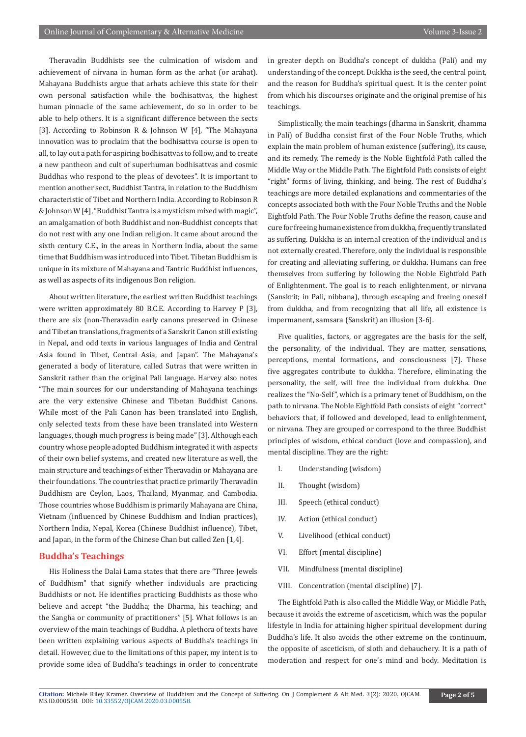Theravadin Buddhists see the culmination of wisdom and achievement of nirvana in human form as the arhat (or arahat). Mahayana Buddhists argue that arhats achieve this state for their own personal satisfaction while the bodhisattvas, the highest human pinnacle of the same achievement, do so in order to be able to help others. It is a significant difference between the sects [3]. According to Robinson R & Johnson W [4], "The Mahayana innovation was to proclaim that the bodhisattva course is open to all, to lay out a path for aspiring bodhisattvas to follow, and to create a new pantheon and cult of superhuman bodhisattvas and cosmic Buddhas who respond to the pleas of devotees". It is important to mention another sect, Buddhist Tantra, in relation to the Buddhism characteristic of Tibet and Northern India. According to Robinson R & Johnson W [4], "Buddhist Tantra is a mysticism mixed with magic", an amalgamation of both Buddhist and non-Buddhist concepts that do not rest with any one Indian religion. It came about around the sixth century C.E., in the areas in Northern India, about the same time that Buddhism was introduced into Tibet. Tibetan Buddhism is unique in its mixture of Mahayana and Tantric Buddhist influences, as well as aspects of its indigenous Bon religion.

About written literature, the earliest written Buddhist teachings were written approximately 80 B.C.E. According to Harvey P [3], there are six (non-Theravadin early canons preserved in Chinese and Tibetan translations, fragments of a Sanskrit Canon still existing in Nepal, and odd texts in various languages of India and Central Asia found in Tibet, Central Asia, and Japan". The Mahayana's generated a body of literature, called Sutras that were written in Sanskrit rather than the original Pali language. Harvey also notes "The main sources for our understanding of Mahayana teachings are the very extensive Chinese and Tibetan Buddhist Canons. While most of the Pali Canon has been translated into English, only selected texts from these have been translated into Western languages, though much progress is being made" [3]. Although each country whose people adopted Buddhism integrated it with aspects of their own belief systems, and created new literature as well, the main structure and teachings of either Theravadin or Mahayana are their foundations. The countries that practice primarily Theravadin Buddhism are Ceylon, Laos, Thailand, Myanmar, and Cambodia. Those countries whose Buddhism is primarily Mahayana are China, Vietnam (influenced by Chinese Buddhism and Indian practices), Northern India, Nepal, Korea (Chinese Buddhist influence), Tibet, and Japan, in the form of the Chinese Chan but called Zen [1,4].

### **Buddha's Teachings**

His Holiness the Dalai Lama states that there are "Three Jewels of Buddhism" that signify whether individuals are practicing Buddhists or not. He identifies practicing Buddhists as those who believe and accept "the Buddha; the Dharma, his teaching; and the Sangha or community of practitioners" [5]. What follows is an overview of the main teachings of Buddha. A plethora of texts have been written explaining various aspects of Buddha's teachings in detail. However, due to the limitations of this paper, my intent is to provide some idea of Buddha's teachings in order to concentrate

in greater depth on Buddha's concept of dukkha (Pali) and my understanding of the concept. Dukkha is the seed, the central point, and the reason for Buddha's spiritual quest. It is the center point from which his discourses originate and the original premise of his teachings.

Simplistically, the main teachings (dharma in Sanskrit, dhamma in Pali) of Buddha consist first of the Four Noble Truths, which explain the main problem of human existence (suffering), its cause, and its remedy. The remedy is the Noble Eightfold Path called the Middle Way or the Middle Path. The Eightfold Path consists of eight "right" forms of living, thinking, and being. The rest of Buddha's teachings are more detailed explanations and commentaries of the concepts associated both with the Four Noble Truths and the Noble Eightfold Path. The Four Noble Truths define the reason, cause and cure for freeing human existence from dukkha, frequently translated as suffering. Dukkha is an internal creation of the individual and is not externally created. Therefore, only the individual is responsible for creating and alleviating suffering, or dukkha. Humans can free themselves from suffering by following the Noble Eightfold Path of Enlightenment. The goal is to reach enlightenment, or nirvana (Sanskrit; in Pali, nibbana), through escaping and freeing oneself from dukkha, and from recognizing that all life, all existence is impermanent, samsara (Sanskrit) an illusion [3-6].

Five qualities, factors, or aggregates are the basis for the self, the personality, of the individual. They are matter, sensations, perceptions, mental formations, and consciousness [7]. These five aggregates contribute to dukkha. Therefore, eliminating the personality, the self, will free the individual from dukkha. One realizes the "No-Self", which is a primary tenet of Buddhism, on the path to nirvana. The Noble Eightfold Path consists of eight "correct" behaviors that, if followed and developed, lead to enlightenment, or nirvana. They are grouped or correspond to the three Buddhist principles of wisdom, ethical conduct (love and compassion), and mental discipline. They are the right:

- I. Understanding (wisdom)
- II. Thought (wisdom)
- III. Speech (ethical conduct)
- IV. Action (ethical conduct)
- V. Livelihood (ethical conduct)
- VI. Effort (mental discipline)
- VII. Mindfulness (mental discipline)
- VIII. Concentration (mental discipline) [7].

The Eightfold Path is also called the Middle Way, or Middle Path, because it avoids the extreme of asceticism, which was the popular lifestyle in India for attaining higher spiritual development during Buddha's life. It also avoids the other extreme on the continuum, the opposite of asceticism, of sloth and debauchery. It is a path of moderation and respect for one's mind and body. Meditation is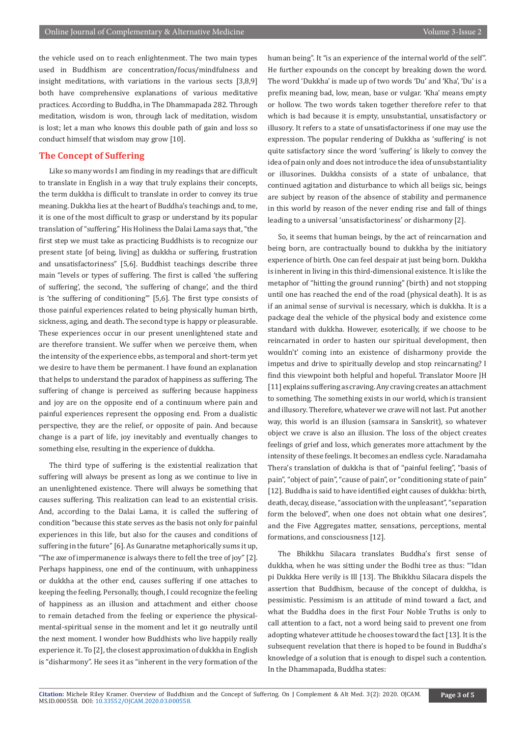the vehicle used on to reach enlightenment. The two main types used in Buddhism are concentration/focus/mindfulness and insight meditations, with variations in the various sects [3,8,9] both have comprehensive explanations of various meditative practices. According to Buddha, in The Dhammapada 282. Through meditation, wisdom is won, through lack of meditation, wisdom is lost; let a man who knows this double path of gain and loss so conduct himself that wisdom may grow [10].

### **The Concept of Suffering**

Like so many words I am finding in my readings that are difficult to translate in English in a way that truly explains their concepts, the term dukkha is difficult to translate in order to convey its true meaning. Dukkha lies at the heart of Buddha's teachings and, to me, it is one of the most difficult to grasp or understand by its popular translation of "suffering." His Holiness the Dalai Lama says that, "the first step we must take as practicing Buddhists is to recognize our present state [of being, living] as dukkha or suffering, frustration and unsatisfactoriness" [5,6]. Buddhist teachings describe three main "levels or types of suffering. The first is called 'the suffering of suffering', the second, 'the suffering of change', and the third is 'the suffering of conditioning'" [5,6]. The first type consists of those painful experiences related to being physically human birth, sickness, aging, and death. The second type is happy or pleasurable. These experiences occur in our present unenlightened state and are therefore transient. We suffer when we perceive them, when the intensity of the experience ebbs, as temporal and short-term yet we desire to have them be permanent. I have found an explanation that helps to understand the paradox of happiness as suffering. The suffering of change is perceived as suffering because happiness and joy are on the opposite end of a continuum where pain and painful experiences represent the opposing end. From a dualistic perspective, they are the relief, or opposite of pain. And because change is a part of life, joy inevitably and eventually changes to something else, resulting in the experience of dukkha.

The third type of suffering is the existential realization that suffering will always be present as long as we continue to live in an unenlightened existence. There will always be something that causes suffering. This realization can lead to an existential crisis. And, according to the Dalai Lama, it is called the suffering of condition "because this state serves as the basis not only for painful experiences in this life, but also for the causes and conditions of suffering in the future" [6]. As Gunaratne metaphorically sums it up, "The axe of impermanence is always there to fell the tree of joy" [2]. Perhaps happiness, one end of the continuum, with unhappiness or dukkha at the other end, causes suffering if one attaches to keeping the feeling. Personally, though, I could recognize the feeling of happiness as an illusion and attachment and either choose to remain detached from the feeling or experience the physicalmental-spiritual sense in the moment and let it go neutrally until the next moment. I wonder how Buddhists who live happily really experience it. To [2], the closest approximation of dukkha in English is "disharmony". He sees it as "inherent in the very formation of the

human being". It "is an experience of the internal world of the self". He further expounds on the concept by breaking down the word. The word 'Dukkha' is made up of two words 'Du' and 'Kha', 'Du' is a prefix meaning bad, low, mean, base or vulgar. 'Kha' means empty or hollow. The two words taken together therefore refer to that which is bad because it is empty, unsubstantial, unsatisfactory or illusory. It refers to a state of unsatisfactoriness if one may use the expression. The popular rendering of Dukkha as 'suffering' is not quite satisfactory since the word 'suffering' is likely to convey the idea of pain only and does not introduce the idea of unsubstantiality or illusorines. Dukkha consists of a state of unbalance, that continued agitation and disturbance to which all beiigs sic, beings are subject by reason of the absence of stability and permanence in this world by reason of the never ending rise and fall of things leading to a universal 'unsatisfactoriness' or disharmony [2].

So, it seems that human beings, by the act of reincarnation and being born, are contractually bound to dukkha by the initiatory experience of birth. One can feel despair at just being born. Dukkha is inherent in living in this third-dimensional existence. It is like the metaphor of "hitting the ground running" (birth) and not stopping until one has reached the end of the road (physical death). It is as if an animal sense of survival is necessary, which is dukkha. It is a package deal the vehicle of the physical body and existence come standard with dukkha. However, esoterically, if we choose to be reincarnated in order to hasten our spiritual development, then wouldn't' coming into an existence of disharmony provide the impetus and drive to spiritually develop and stop reincarnating? I find this viewpoint both helpful and hopeful. Translator Moore JH [11] explains suffering as craving. Any craving creates an attachment to something. The something exists in our world, which is transient and illusory. Therefore, whatever we crave will not last. Put another way, this world is an illusion (samsara in Sanskrit), so whatever object we crave is also an illusion. The loss of the object creates feelings of grief and loss, which generates more attachment by the intensity of these feelings. It becomes an endless cycle. Naradamaha Thera's translation of dukkha is that of "painful feeling", "basis of pain", "object of pain", "cause of pain", or "conditioning state of pain" [12]. Buddha is said to have identified eight causes of dukkha: birth, death, decay, disease, "association with the unpleasant", "separation form the beloved", when one does not obtain what one desires", and the Five Aggregates matter, sensations, perceptions, mental formations, and consciousness [12].

The Bhikkhu Silacara translates Buddha's first sense of dukkha, when he was sitting under the Bodhi tree as thus: "'Idan pi Dukkka Here verily is Ill [13]. The Bhikkhu Silacara dispels the assertion that Buddhism, because of the concept of dukkha, is pessimistic. Pessimism is an attitude of mind toward a fact, and what the Buddha does in the first Four Noble Truths is only to call attention to a fact, not a word being said to prevent one from adopting whatever attitude he chooses toward the fact [13]. It is the subsequent revelation that there is hoped to be found in Buddha's knowledge of a solution that is enough to dispel such a contention. In the Dhammapada, Buddha states: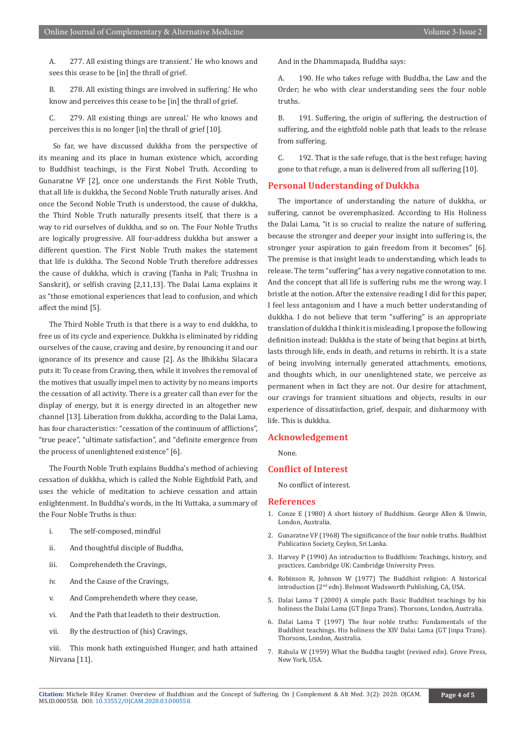A. 277. All existing things are transient.' He who knows and sees this cease to be [in] the thrall of grief.

B. 278. All existing things are involved in suffering.' He who know and perceives this cease to be [in] the thrall of grief.

C. 279. All existing things are unreal.' He who knows and perceives this is no longer [in] the thrall of grief [10].

 So far, we have discussed dukkha from the perspective of its meaning and its place in human existence which, according to Buddhist teachings, is the First Nobel Truth. According to Gunaratne VF [2], once one understands the First Noble Truth, that all life is dukkha, the Second Noble Truth naturally arises. And once the Second Noble Truth is understood, the cause of dukkha, the Third Noble Truth naturally presents itself, that there is a way to rid ourselves of dukkha, and so on. The Four Noble Truths are logically progressive. All four-address dukkha but answer a different question. The First Noble Truth makes the statement that life is dukkha. The Second Noble Truth therefore addresses the cause of dukkha, which is craving (Tanha in Pali; Trushna in Sanskrit), or selfish craving [2,11,13]. The Dalai Lama explains it as "those emotional experiences that lead to confusion, and which affect the mind [5].

The Third Noble Truth is that there is a way to end dukkha, to free us of its cycle and experience. Dukkha is eliminated by ridding ourselves of the cause, craving and desire, by renouncing it and our ignorance of its presence and cause [2]. As the Bhikkhu Silacara puts it: To cease from Craving, then, while it involves the removal of the motives that usually impel men to activity by no means imports the cessation of all activity. There is a greater call than ever for the display of energy, but it is energy directed in an altogether new channel [13]. Liberation from dukkha, according to the Dalai Lama, has four characteristics: "cessation of the continuum of afflictions", "true peace", "ultimate satisfaction", and "definite emergence from the process of unenlightened existence" [6].

The Fourth Noble Truth explains Buddha's method of achieving cessation of dukkha, which is called the Noble Eightfold Path, and uses the vehicle of meditation to achieve cessation and attain enlightenment. In Buddha's words, in the Iti Vuttaka, a summary of the Four Noble Truths is thus:

- i. The self-composed, mindful
- ii. And thoughtful disciple of Buddha,
- iii. Comprehendeth the Cravings,
- iv. And the Cause of the Cravings,
- v. And Comprehendeth where they cease,
- vi. And the Path that leadeth to their destruction.
- vii. By the destruction of (his) Cravings,
- viii. This monk hath extinguished Hunger, and hath attained Nirvana [11].

And in the Dhammapada, Buddha says:

190. He who takes refuge with Buddha, the Law and the Order; he who with clear understanding sees the four noble truths.

B. 191. Suffering, the origin of suffering, the destruction of suffering, and the eightfold noble path that leads to the release from suffering.

C. 192. That is the safe refuge, that is the best refuge; having gone to that refuge, a man is delivered from all suffering [10].

#### **Personal Understanding of Dukkha**

The importance of understanding the nature of dukkha, or suffering, cannot be overemphasized. According to His Holiness the Dalai Lama, "it is so crucial to realize the nature of suffering, because the stronger and deeper your insight into suffering is, the stronger your aspiration to gain freedom from it becomes" [6]. The premise is that insight leads to understanding, which leads to release. The term "suffering" has a very negative connotation to me. And the concept that all life is suffering rubs me the wrong way. I bristle at the notion. After the extensive reading I did for this paper, I feel less antagonism and I have a much better understanding of dukkha. I do not believe that term "suffering" is an appropriate translation of dukkha I think it is misleading. I propose the following definition instead: Dukkha is the state of being that begins at birth, lasts through life, ends in death, and returns in rebirth. It is a state of being involving internally generated attachments, emotions, and thoughts which, in our unenlightened state, we perceive as permanent when in fact they are not. Our desire for attachment, our cravings for transient situations and objects, results in our experience of dissatisfaction, grief, despair, and disharmony with life. This is dukkha.

#### **Acknowledgement**

None.

#### **Conflict of Interest**

No conflict of interest.

#### **References**

- 1. Conze E (1980) A short history of Buddhism. George Allen & Unwin, London, Australia.
- 2. Gunaratne VF (1968) The significance of the four noble truths. Buddhist Publication Society, Ceylon, Sri Lanka.
- 3. Harvey P (1990) An introduction to Buddhism: Teachings, history, and practices. Cambridge UK: Cambridge University Press.
- 4. Robinson R, Johnson W (1977) The Buddhist religion: A historical introduction (2nd edn). Belmont Wadsworth Publishing, CA, USA.
- 5. Dalai Lama T (2000) A simple path: Basic Buddhist teachings by his holiness the Dalai Lama (GT Jinpa Trans). Thorsons, London, Australia.
- 6. Dalai Lama T (1997) The four noble truths: Fundamentals of the Buddhist teachings. His holiness the XIV Dalai Lama (GT Jinpa Trans). Thorsons, London, Australia.
- 7. Rahula W (1959) What the Buddha taught (revised edn). Grove Press, New York, USA.